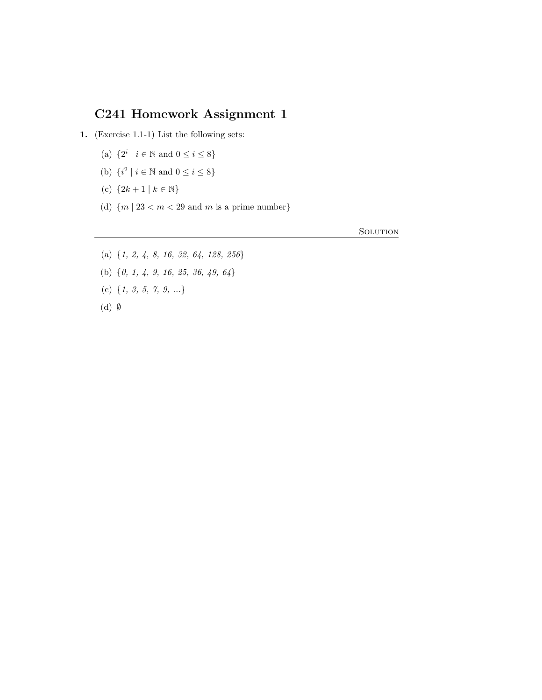## C241 Homework Assignment 1

- 1. (Exercise 1.1-1) List the following sets:
	- (a)  $\{2^i \mid i \in \mathbb{N} \text{ and } 0 \le i \le 8\}$
	- (b)  $\{i^2 \mid i \in \mathbb{N} \text{ and } 0 \le i \le 8\}$
	- (c)  ${2k+1 | k \in \mathbb{N}}$
	- (d)  ${m \mid 23 < m < 29}$  and m is a prime number

**SOLUTION** 

- (a) {1, 2, 4, 8, 16, 32, 64, 128, 256}
- (b) {0, 1, 4, 9, 16, 25, 36, 49, 64}
- (c)  $\{1, 3, 5, 7, 9, ...\}$
- (d) ∅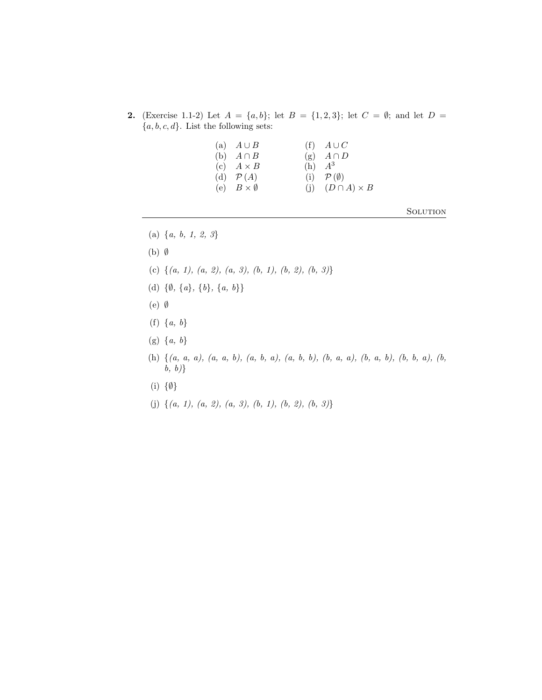- 2. (Exercise 1.1-2) Let  $A = \{a, b\}$ ; let  $B = \{1, 2, 3\}$ ; let  $C = \emptyset$ ; and let  $D =$  ${a, b, c, d}$ . List the following sets:
	- (a)  $A \cup B$  (f)  $A \cup C$ <br>
	(b)  $A \cap B$  (g)  $A \cap D$ (b)  $A \cap B$  (g)  $A \cap B$ <br>
	(c)  $A \times B$  (h)  $A^3$ (c)  $A \times B$ <br>
	(d)  $\mathcal{P}(A)$ <br>
	(i)  $\mathcal{P}(\emptyset)$ (d)  $P(A)$  (i) (e)  $B \times \emptyset$  (j)  $(D \cap A) \times B$
- **SOLUTION**

- (a)  $\{a, b, 1, 2, 3\}$
- (b) ∅
- (c)  $\{(a, 1), (a, 2), (a, 3), (b, 1), (b, 2), (b, 3)\}\$
- (d)  $\{\emptyset, \{a\}, \{b\}, \{a, b\}\}\$
- (e) ∅
- (f)  $\{a, b\}$
- $(g) \{a, b\}$
- (h) {(a, a, a), (a, a, b), (a, b, a), (a, b, b), (b, a, a), (b, a, b), (b, b, a), (b,  $b, b)$
- (i) {∅}
- (j)  $\{(a, 1), (a, 2), (a, 3), (b, 1), (b, 2), (b, 3)\}\$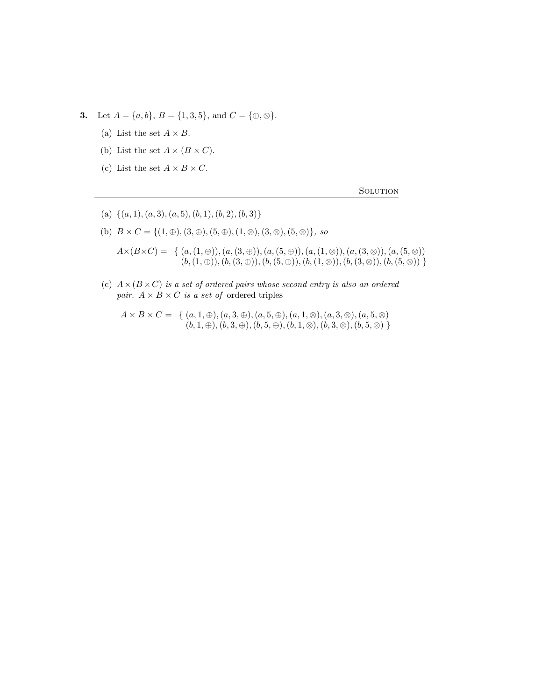3. Let  $A = \{a, b\}, B = \{1, 3, 5\}, \text{ and } C = \{\oplus, \otimes\}.$ 

- (a) List the set  $A \times B$ .
- (b) List the set  $A \times (B \times C)$ .
- (c) List the set  $A \times B \times C$ .

**SOLUTION** 

- (a)  $\{(a, 1), (a, 3), (a, 5), (b, 1), (b, 2), (b, 3)\}\$
- (b)  $B \times C = \{(1, \oplus), (3, \oplus), (5, \oplus), (1, \otimes), (3, \otimes), (5, \otimes)\}, so$

 $A\times (B\times C) = \{ (a,(1,\oplus)),(a,(3,\oplus)),(a,(5,\oplus)),(a,(1,\otimes)),(a,(3,\otimes)),(a,(5,\otimes)) \}$  $(b,(1,\oplus)),(b,(3,\oplus)),(b,(5,\oplus)),(b,(1,\otimes)),(b,(3,\otimes)),(b,(5,\otimes))$ 

(c)  $A \times (B \times C)$  is a set of ordered pairs whose second entry is also an ordered pair.  $A \times B \times C$  is a set of ordered triples

 $A \times B \times C = \{ (a, 1, \oplus), (a, 3, \oplus), (a, 5, \oplus), (a, 1, \otimes), (a, 3, \otimes), (a, 5, \otimes) \}$  $(b, 1, \oplus), (b, 3, \oplus), (b, 5, \oplus), (b, 1, \otimes), (b, 3, \otimes), (b, 5, \otimes)$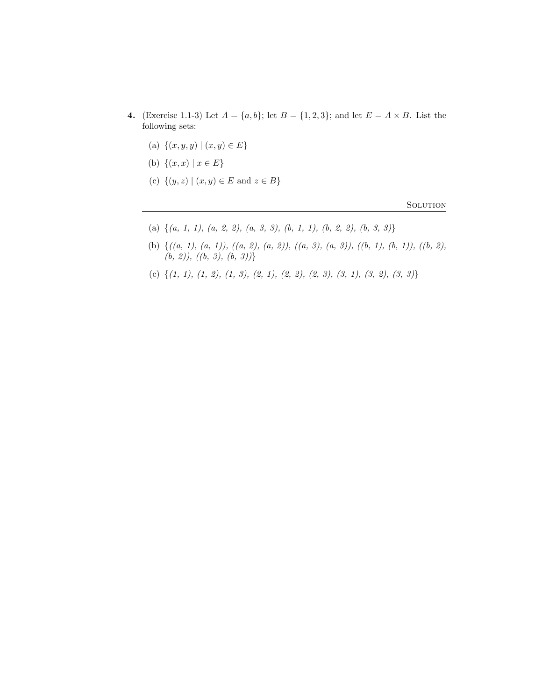- 4. (Exercise 1.1-3) Let  $A = \{a, b\}$ ; let  $B = \{1, 2, 3\}$ ; and let  $E = A \times B$ . List the following sets:
	- (a)  $\{(x, y, y) | (x, y) \in E\}$
	- (b)  $\{(x, x) | x \in E\}$
	- (c)  $\{(y, z) | (x, y) \in E \text{ and } z \in B\}$

**SOLUTION** 

- (a)  $\{(a, 1, 1), (a, 2, 2), (a, 3, 3), (b, 1, 1), (b, 2, 2), (b, 3, 3)\}\$
- (b) {((a, 1), (a, 1)), ((a, 2), (a, 2)), ((a, 3), (a, 3)), ((b, 1), (b, 1)), ((b, 2),  $(b, 2)$ ,  $((b, 3), (b, 3))$
- (c)  $\{(1, 1), (1, 2), (1, 3), (2, 1), (2, 2), (2, 3), (3, 1), (3, 2), (3, 3)\}$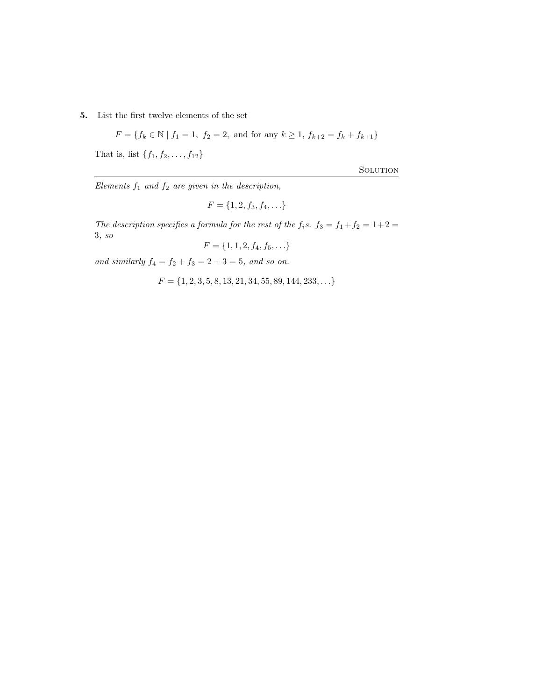5. List the first twelve elements of the set

$$
F = \{ f_k \in \mathbb{N} \mid f_1 = 1, f_2 = 2, \text{ and for any } k \ge 1, f_{k+2} = f_k + f_{k+1} \}
$$

That is, list  $\{f_1, f_2, ..., f_{12}\}$ 

**SOLUTION** 

Elements  $f_1$  and  $f_2$  are given in the description,

$$
F = \{1, 2, f_3, f_4, \ldots\}
$$

The description specifies a formula for the rest of the  $f_i$ s.  $f_3 = f_1 + f_2 = 1 + 2 =$ 3, so

$$
F = \{1, 1, 2, f_4, f_5, \ldots\}
$$

and similarly  $f_4 = f_2 + f_3 = 2 + 3 = 5$ , and so on.

 $F = \{1, 2, 3, 5, 8, 13, 21, 34, 55, 89, 144, 233, \ldots\}$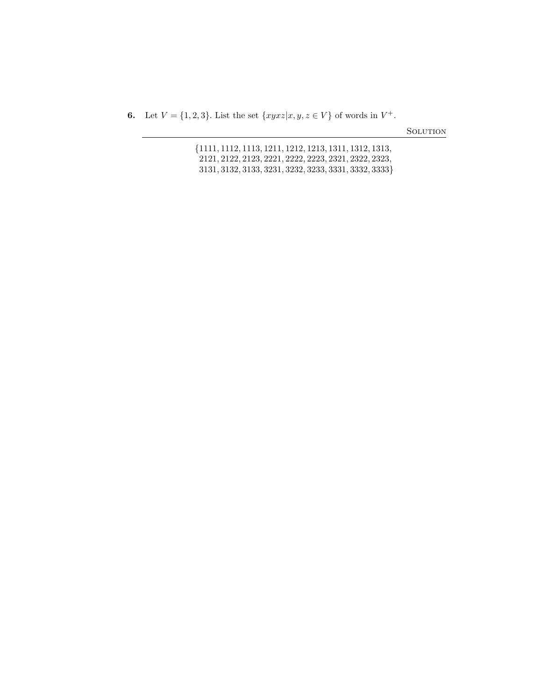**6.** Let  $V = \{1, 2, 3\}$ . List the set  $\{xyxz|x, y, z \in V\}$  of words in  $V^+$ .

**SOLUTION** 

|  | {1111, 1112, 1113, 1211, 1212, 1213, 1311, 1312, 1313, |  |                                                       |
|--|--------------------------------------------------------|--|-------------------------------------------------------|
|  |                                                        |  | 2121, 2122, 2123, 2221, 2222, 2223, 2321, 2322, 2323, |
|  |                                                        |  | 3131, 3132, 3133, 3231, 3232, 3233, 3331, 3332, 3333} |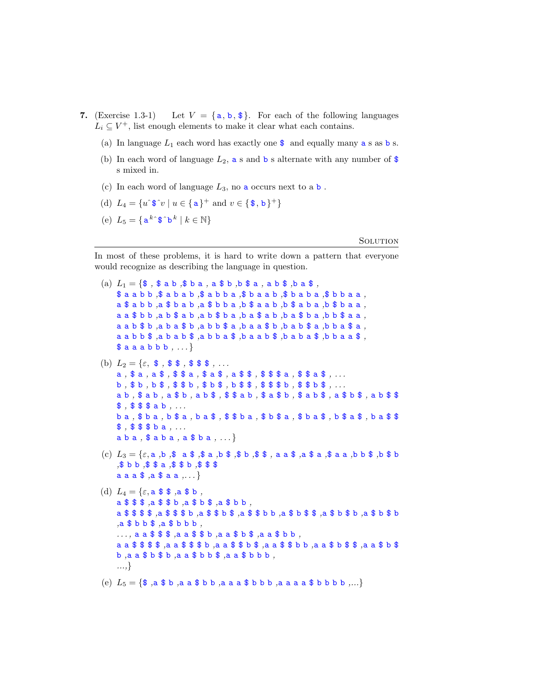- 7. (Exercise 1.3-1) Let  $V = \{a, b, \text{ } \text{\$}\}\$ . For each of the following languages  $L_i \subseteq V^+$ , list enough elements to make it clear what each contains.
	- (a) In language  $L_1$  each word has exactly one  $\frac{1}{2}$  and equally many **a** s as **b** s.
	- (b) In each word of language  $L_2$ , a s and b s alternate with any number of \$ s mixed in.
	- (c) In each word of language  $L_3$ , no **a** occurs next to **a b**.
	- (d)  $L_4 = \{u \hat{\ } \mathbf{\$} \hat{v} \mid u \in \{\mathbf{a}\}^+ \text{ and } v \in \{\mathbf{\$},\mathbf{b}\}^+\}$
	- (e)  $L_5 = \{ \mathbf{a}^k \mathbf{\hat{s}} \mathbf{\hat{b}}^k \mid k \in \mathbb{N} \}$

## **SOLUTION**

In most of these problems, it is hard to write down a pattern that everyone would recognize as describing the language in question.

- (a)  $L_1 = \{\$$ ,  $\$$  a b  $\$$  b a , a  $\$$  b  $\$$  b  $\$$  a , a b  $\$$  , b a  $\$$ ,  $$$ a a b b  $$$ a b a b  $$$ a b b  $$$ a b b a  $$$ b a a b  $$$ b a b a  $$$ b b a a  $,$  $a $ a b b , a $ b a b , a $ b b a , b $ a a b , b $ a b a , b $ b a a ,$  $a a $ b b , a b $ a b , a b $ b a , b a $ a $ b , b a $ b a , b b $ a a ,$  $a$  a  $b$   $b$   $b$ ,  $a$   $b$  a  $b$   $b$ ,  $a$   $b$   $b$   $b$   $a$   $a$ ,  $b$   $b$   $a$   $b$   $b$   $b$   $a$   $b$   $b$   $b$   $a$   $b$   $b$   $a$   $b$   $b$   $a$   $b$   $b$   $a$   $b$   $b$   $a$   $b$   $b$   $a$   $b$   $b$   $a$   $b$   $b$   $a$   $b$   $b$   $a$   $b$   $b$   $a$   $b$   $b$  $a$  a  $b$   $b$  ,  $a$   $b$  a  $b$  ,  $a$   $b$   $b$  ,  $b$  ,  $b$  ,  $b$  ,  $b$  ,  $b$  ,  $b$  ,  $b$  ,  $b$  ,  $b$  ,  $b$  ,  $b$  ,  $b$  ,  $b$  ,  $b$  ,  $b$  ,  $b$  ,  $b$  ,  $b$  ,  $b$  ,  $b$  ,  $b$   $$ a a ab b b , ... \}$ (b)  $L_2 = \{\varepsilon, \, \$\, , \, \$\, \$\, , \, \$\, \$\, \$\, , \ldots \}$ a, \$ a, a \$, \$ \$ a, \$ a \$, a \$ \$, \$ \$ \$ a, \$ \$ a \$, ...  $b, $ b, b, $ $, $ $ \$  $b, $ b, $ $ \$  $c, $ b, $ $ b, $ $ \}$ ,  $d, $ $ \$  $e, $ $ \$ a b , \$ a b , a \$ b , a b \$ , \$ \$ a b , \$ a \$ b , \$ a b \$ , a \$ b \$ , a b \$ \$ \$ \$\$\$ab ... b a , \$ b a , b \$ a , b a \$ , \$ \$ b a , \$ b \$ a , \$ b a \$ , b \$ a \$ , b a \$ \$ \$ , \$ \$ \$ b a , ... a b a , \$ a b a , a \$ b a , . . . } (c)  $L_3 = \{ \varepsilon, a, b, s \ a \$ ;  $\frac{1}{2} a, b \}$ ;  $a \}$ ;  $a \}$ ;  $a \}$ ;  $a \frac{1}{2} a \}$ ;  $a \frac{1}{2} a \frac{1}{2} b \}$ ;  $a \frac{1}{2} b \}$ ;  $a \frac{1}{2} b \}$ ;  $a \frac{1}{2} b \}$ ;  $a \frac{1}{2} b \}$ ;  $a \frac{1}{2} b \frac{1}{2} c \}$ ;  $a \frac{1}{2} b \frac{1}{2} c \}$ ;  $a \frac{1}{2} b \frac{$ ,\$ b b ,\$ \$ a ,\$ \$ b ,\$ \$ \$  $a$   $a$   $a$   $b$   $a$   $a$   $a$   $\dots$ } (d)  $L_4 = \{\varepsilon, \mathbf{a} \mathbf{\$} \mathbf{\$}$ ,  $\mathbf{a} \mathbf{\$} \mathbf{\$}$ , a \$ \$ \$ ,a \$ \$ b ,a \$ b \$ ,a \$ b b , a \$ \$ \$ \$ ,a \$ \$ \$ b ,a \$ \$ b \$ ,a \$ \$ b b ,a \$ b \$ \$ ,a \$ b \$ b ,a \$ b \$ b ,a \$ b b \$ ,a \$ b b b , . . . , a a \$ \$ \$ ,a a \$ \$ b ,a a \$ b \$ ,a a \$ b b , a a \$ \$ \$ \$ ,a a \$ \$ \$ b ,a a \$ \$ b \$ ,a a \$ \$ b b ,a a \$ b \$ \$ ,a a \$ b \$
	- b ,a a \$ b \$ b ,a a \$ b b \$ ,a a \$ b b b ,
	- ...,}

(e)  $L_5 = \{\$$ ,  $a \$ b$ ,  $a \ a \ $ b \ b$ ,  $a \ a \ a \ $ b \ b \ b$ ,  $a \ a \ a \ a \ $ b \ b \ b \ b$ ,...}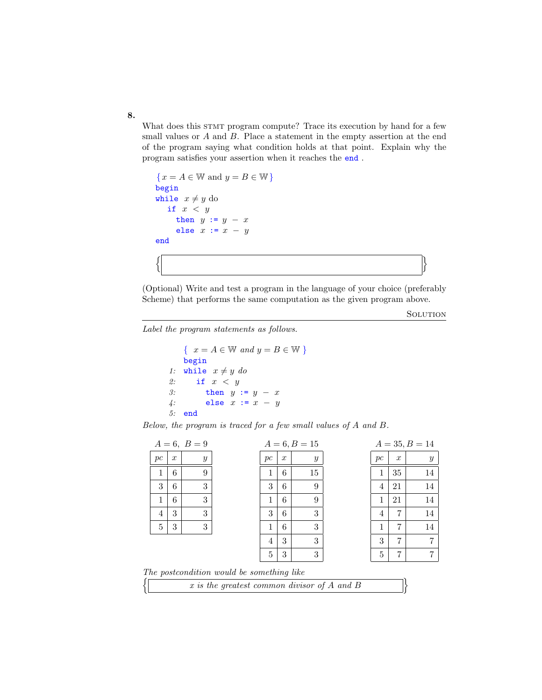What does this STMT program compute? Trace its execution by hand for a few small values or A and B. Place a statement in the empty assertion at the end of the program saying what condition holds at that point. Explain why the program satisfies your assertion when it reaches the end .

 $\{x = A \in \mathbb{W} \text{ and } y = B \in \mathbb{W}\}\$ begin while  $x \neq y$  do if  $x < y$ then  $y := y - x$ else  $x := x - y$ end  $\left| \begin{array}{ccc} \end{array} \right|$ 

(Optional) Write and test a program in the language of your choice (preferably Scheme) that performs the same computation as the given program above.

**SOLUTION** 

Label the program statements as follows.

 $\{ x = A \in \mathbb{W} \text{ and } y = B \in \mathbb{W} \}$ begin 1: while  $x \neq y$  do 2: if  $x < y$ 3: then  $y := y - x$ 4: else  $x := x - y$ 5: end

Below, the program is traced for a few small values of A and B.

|   |                                             |                  | $A = 6, B = 9$   |                                           |    |                  | $A = 6, B = 15$  |    |                  | $A = 35, B = 14$ |
|---|---------------------------------------------|------------------|------------------|-------------------------------------------|----|------------------|------------------|----|------------------|------------------|
|   | pc                                          | $\boldsymbol{x}$ | $\boldsymbol{y}$ |                                           | pc | $\boldsymbol{x}$ | $\boldsymbol{y}$ | pc | $\boldsymbol{x}$ | $\boldsymbol{y}$ |
|   | 1                                           | 6                | 9                |                                           | 1  | 6                | 15               | 1  | 35               | 14               |
|   | 3                                           | 6                | 3                |                                           | 3  | 6                | 9                | 4  | 21               | 14               |
|   | 1                                           | 6                | 3                |                                           | 1  | 6                | 9                | 1  | 21               | 14               |
|   | 4                                           | 3                | 3                |                                           | 3  | 6                | 3                | 4  | 7                | 14               |
|   | 5                                           | 3                | 3                |                                           | 1  | 6                | 3                | 1  | 7                | 14               |
|   |                                             |                  |                  |                                           | 4  | 3                | 3                | 3  | 7                | 7                |
|   |                                             |                  |                  |                                           | 5  | 3                | 3                | 5  | 7                | 7                |
|   |                                             |                  |                  | The postcondition would be something like |    |                  |                  |    |                  |                  |
| J | r is the greatest common divisor of A and B |                  |                  |                                           |    |                  |                  |    |                  |                  |

| x is the greatest common divisor of A and B |  |
|---------------------------------------------|--|
|---------------------------------------------|--|

8.